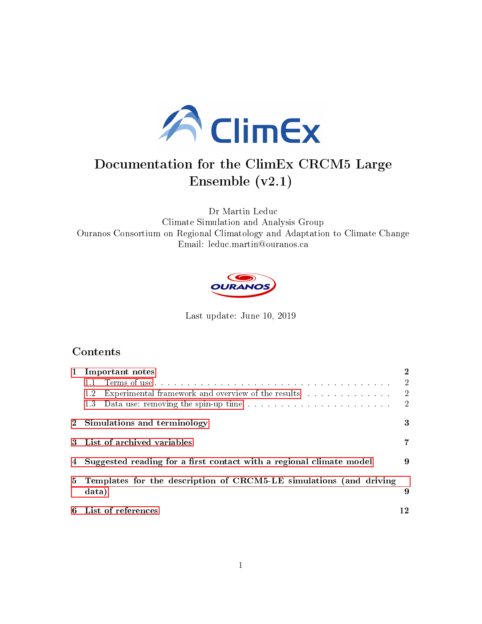

# Documentation for the ClimEx CRCM5 Large Ensemble (v2.1)

Dr Martin Leduc Climate Simulation and Analysis Group Ouranos Consortium on Regional Climatology and Adaptation to Climate Change Email: leduc.martin@ouranos.ca



Last update: June 10, 2019

## Contents

| $\mathbf{1}$   | Important notes                                                             | $\bf{2}$       |
|----------------|-----------------------------------------------------------------------------|----------------|
|                |                                                                             | $\overline{2}$ |
|                | Experimental framework and overview of the results<br>1.2                   | $\overline{2}$ |
|                | 1.3                                                                         | $\overline{2}$ |
|                | 2 Simulations and terminology                                               | 3              |
|                | 3 List of archived variables                                                |                |
|                | 4 Suggested reading for a first contact with a regional climate model       | 9              |
| 5 <sup>5</sup> | Templates for the description of CRCM5-LE simulations (and driving<br>data) | 9              |
|                | 6 List of references                                                        | -2             |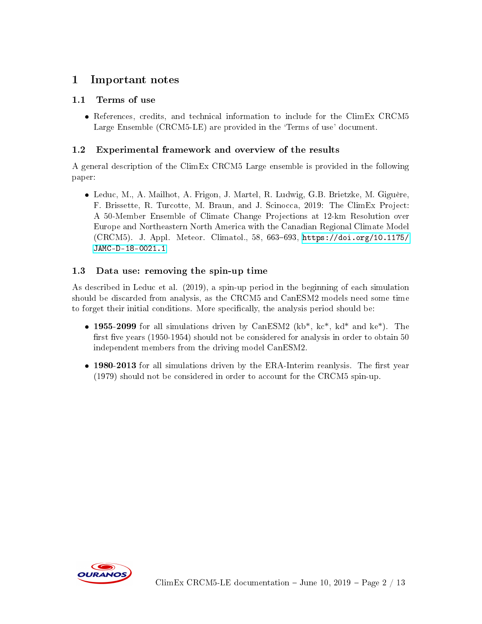# <span id="page-1-0"></span>1 Important notes

### <span id="page-1-1"></span>1.1 Terms of use

 References, credits, and technical information to include for the ClimEx CRCM5 Large Ensemble (CRCM5-LE) are provided in the 'Terms of use' document.

### <span id="page-1-2"></span>1.2 Experimental framework and overview of the results

A general description of the ClimEx CRCM5 Large ensemble is provided in the following paper:

 Leduc, M., A. Mailhot, A. Frigon, J. Martel, R. Ludwig, G.B. Brietzke, M. Giguère, F. Brissette, R. Turcotte, M. Braun, and J. Scinocca, 2019: The ClimEx Project: A 50-Member Ensemble of Climate Change Projections at 12-km Resolution over Europe and Northeastern North America with the Canadian Regional Climate Model  $(CRCM5)$ . J. Appl. Meteor. Climatol., 58, 663-693, [https://doi.org/10.1175/](https://doi.org/10.1175/JAMC-D-18-0021.1) [JAMC-D-18-0021.1](https://doi.org/10.1175/JAMC-D-18-0021.1)

### <span id="page-1-3"></span>1.3 Data use: removing the spin-up time

As described in Leduc et al. (2019), a spin-up period in the beginning of each simulation should be discarded from analysis, as the CRCM5 and CanESM2 models need some time to forget their initial conditions. More specifically, the analysis period should be:

- 1955-2099 for all simulations driven by CanESM2 (kb<sup>\*</sup>, kc<sup>\*</sup>, kd<sup>\*</sup> and ke<sup>\*</sup>). The first five years  $(1950-1954)$  should not be considered for analysis in order to obtain 50 independent members from the driving model CanESM2.
- 1980-2013 for all simulations driven by the ERA-Interim reanlysis. The first year (1979) should not be considered in order to account for the CRCM5 spin-up.

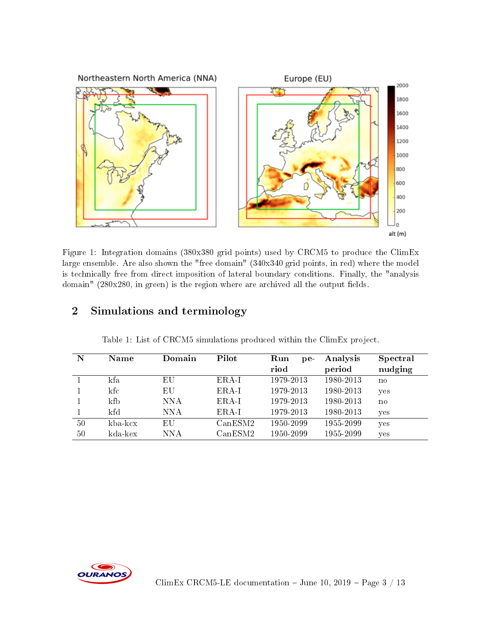

Figure 1: Integration domains (380x380 grid points) used by CRCM5 to produce the ClimEx large ensemble. Are also shown the "free domain" (340x340 grid points, in red) where the model is technically free from direct imposition of lateral boundary conditions. Finally, the "analysis domain"  $(280x280, in green)$  is the region where are archived all the output fields.

# <span id="page-2-0"></span>2 Simulations and terminology

| N  | <b>Name</b>   | Domain | Pilot   | Run<br>$pe-$ | Analysis  | Spectral               |
|----|---------------|--------|---------|--------------|-----------|------------------------|
|    |               |        |         | riod         | period    | nudging                |
|    | kfa           | EU     | $ERA-I$ | 1979-2013    | 1980-2013 | $\mathbf{n}\mathbf{o}$ |
|    | kfc           | ΕU     | $ERA-I$ | 1979-2013    | 1980-2013 | yes                    |
|    | kfb           | NNA    | ERA-I   | 1979-2013    | 1980-2013 | $\mathbf{n}$           |
|    | kfd           | NNA    | $ERA-I$ | 1979-2013    | 1980-2013 | yes                    |
| 50 | kba-kcx       | ΕU     | CanESM2 | 1950-2099    | 1955-2099 | yes                    |
| 50 | $kda$ - $kex$ | NNA    | CanESM2 | 1950-2099    | 1955-2099 | yes                    |

Table 1: List of CRCM5 simulations produced within the ClimEx project.

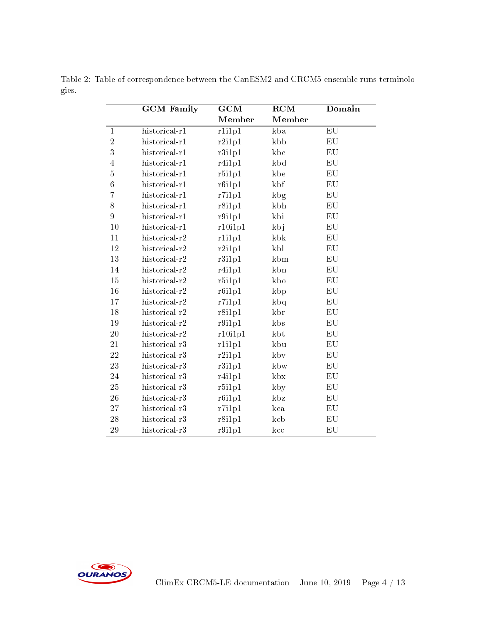|                | <b>GCM</b> Family | GCM     | RCM             | Domain     |
|----------------|-------------------|---------|-----------------|------------|
|                |                   | Member  | Member          |            |
| $\mathbf{1}$   | $historical-r1$   | rli1p1  | kba             | ${\rm EU}$ |
| $\overline{2}$ | historical-r1     | r2i1p1  | kbb             | ${\rm EU}$ |
| $\overline{3}$ | historical-r1     | r3i1p1  | kbc             | EU         |
| $\overline{4}$ | historical-r1     | r4i1p1  | kbd             | EU         |
| $\overline{5}$ | historical-r1     | r5i1p1  | kbe             | ${\rm EU}$ |
| $\overline{6}$ | historical-r1     | r6i1p1  | k <sub>bf</sub> | EU         |
| $\overline{7}$ | historical-r1     | r7i1p1  | kbg             | EU         |
| 8              | historical-r1     | r8i1p1  | kbh             | EU         |
| 9              | historical-r1     | r9i1p1  | kbi             | EU         |
| 10             | historical-r1     | r10i1p1 | kbj             | ${\rm EU}$ |
| 11             | historical-r2     | rli1p1  | kbk             | EU         |
| 12             | historical-r2     | r2i1p1  | kbl             | EU         |
| 13             | historical-r2     | r3i1p1  | kbm             | EU         |
| 14             | historical-r2     | r4i1p1  | kbn             | EU         |
| 15             | historical-r2     | r5i1p1  | kbo             | ${\rm EU}$ |
| 16             | historical-r2     | r6i1p1  | kbp             | ${\rm EU}$ |
| 17             | historical-r2     | r7i1p1  | kba             | EU         |
| 18             | historical-r2     | r8i1p1  | kbr             | ${\rm EU}$ |
| 19             | historical-r2     | r9i1p1  | kbs             | EU         |
| 20             | historical-r2     | r10i1p1 | kbt             | ${\rm EU}$ |
| 21             | historical-r3     | rli1p1  | kbu             | ${\rm EU}$ |
| 22             | historical-r3     | r2i1p1  | kby             | EU         |
| 23             | historical-r3     | r3i1p1  | kbw             | ${\rm EU}$ |
| 24             | historical-r3     | r4i1p1  | $k$ bx          | EU         |
| 25             | historical-r3     | r5i1p1  | kby             | EU         |
| 26             | historical-r3     | r6i1p1  | kbz             | EU         |
| 27             | historical-r3     | r7i1p1  | kca             | EU         |
| 28             | historical-r3     | r8i1p1  | kcb             | EU         |
| 29             | historical-r3     | r9i1p1  | kcc             | EU         |

Table 2: Table of correspondence between the CanESM2 and CRCM5 ensemble runs terminologies.

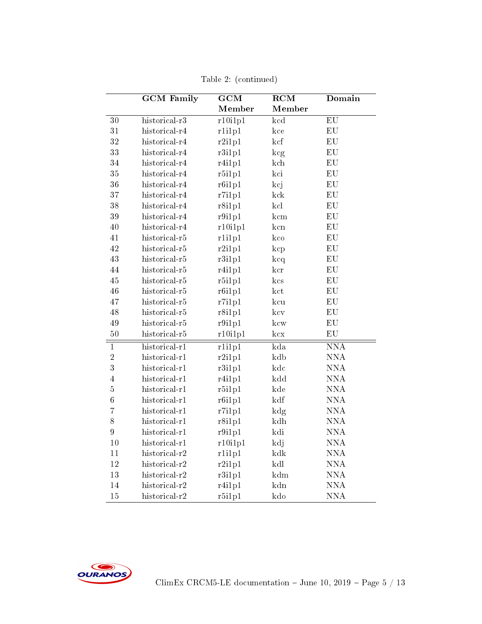|                  | <b>GCM</b> Family | $\overline{\text{GCM}}$ | $\overline{\mathrm{RCM}}$ | Domain                  |
|------------------|-------------------|-------------------------|---------------------------|-------------------------|
|                  |                   | Member                  | Member                    |                         |
| $\overline{30}$  | historical- $r3$  | r10i1p1                 | $\overline{\text{kcd}}$   | $\overline{EU}$         |
| 31               | historical-r4     | rli1p1                  | kce                       | ${\rm EU}$              |
| 32               | historical-r4     | r2i1p1                  | kcf                       | ${\rm EU}$              |
| 33               | historical-r4     | r3i1p1                  | kcg                       | EU                      |
| 34               | historical-r4     | r4i1p1                  | kch                       | EU                      |
| 35               | historical-r4     | r5i1p1                  | kci                       | EU                      |
| 36               | historical-r4     | r6i1p1                  | kcj                       | EU                      |
| 37               | historical-r4     | r7i1p1                  | kck                       | EU                      |
| 38               | historical-r4     | r8i1p1                  | kcl                       | ${\rm EU}$              |
| 39               | historical-r4     | r9i1p1                  | kcm                       | ${\rm EU}$              |
| 40               | historical-r4     | r10i1p1                 | kcn                       | ${\rm EU}$              |
| 41               | historical-r5     | rli1p1                  | kco                       | ${\rm EU}$              |
| 42               | historical-r5     | r2i1p1                  | $\rm\,kcp$                | ${\rm EU}$              |
| 43               | historical-r5     | r3i1p1                  | kcq                       | ${\rm EU}$              |
| 44               | historical-r5     | r4i1p1                  | ker                       | ${\rm EU}$              |
| 45               | historical-r5     | r5i1p1                  | $\rm kcs$                 | EU                      |
| 46               | historical-r5     | r6i1p1                  | kct                       | ${\rm EU}$              |
| 47               | historical-r5     | r7i1p1                  | kcu                       | ${\rm EU}$              |
| 48               | historical-r5     | r8i1p1                  | $\rm\,kcv$                | ${\rm EU}$              |
| 49               | historical-r5     | r9i1p1                  | kcw                       | ${\rm EU}$              |
| 50               | historical-r5     | r10i1p1                 | kcx                       | EU                      |
| $\mathbf{1}$     | $historical-r1$   | r <sub>1i1p1</sub>      | $\overline{\text{kda}}$   | $\overline{\text{NNA}}$ |
| $\overline{2}$   | historical-r1     | r2i1p1                  | kdb                       | <b>NNA</b>              |
| 3                | historical-r1     | r3i1p1                  | kdc                       | <b>NNA</b>              |
| $\overline{4}$   | historical-r1     | r4i1p1                  | kdd                       | <b>NNA</b>              |
| $\overline{5}$   | historical-r1     | r5i1p1                  | kde                       | <b>NNA</b>              |
| $\boldsymbol{6}$ | historical-r1     | r6i1p1                  | kdf                       | <b>NNA</b>              |
| $\overline{7}$   | historical-r1     | r7i1p1                  | $k\mathrm{dg}$            | $\mathrm{NNA}$          |
| 8                | historical-r1     | r8i1p1                  | kdh                       | $\mathrm{NNA}$          |
| $\overline{9}$   | historical-r1     | r9i1p1                  | kdi                       | $\mathrm{NNA}$          |
| 10               | historical-r1     | r10i1p1                 | kdj                       | $\mathrm{NNA}$          |
| 11               | historical-r2     | rli1p1                  | kdk                       | <b>NNA</b>              |
| 12               | historical-r2     | r2i1p1                  | kdl                       | <b>NNA</b>              |
| 13               | historical-r2     | r3i1p1                  | kdm                       | <b>NNA</b>              |
| 14               | historical-r2     | r4i1p1                  | kdn                       | $\mathrm{NNA}$          |
| 15               | historical-r2     | r5i1p1                  | kdo                       | <b>NNA</b>              |

Table 2: (continued)

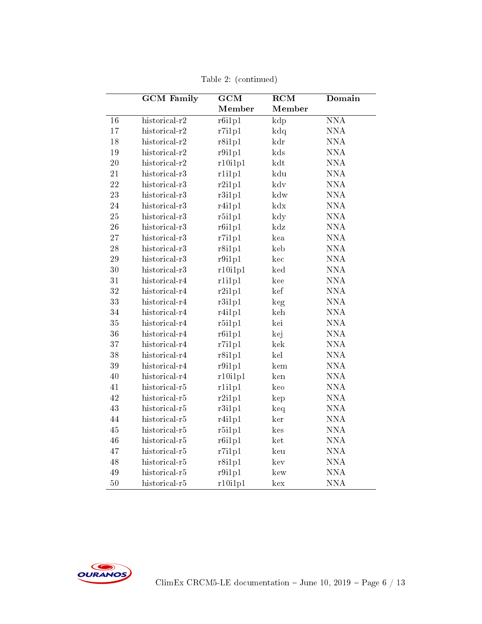|    | <b>GCM</b> Family | $\overline{\text{GCM}}$ | $\overline{\mathrm{RCM}}$ | Domain         |
|----|-------------------|-------------------------|---------------------------|----------------|
|    |                   | Member                  | Member                    |                |
| 16 | historical-r2     | r6i1p1                  | kdp                       | <b>NNA</b>     |
| 17 | historical-r2     | r7i1p1                  | $kd\alpha$                | <b>NNA</b>     |
| 18 | historical-r2     | r8i1p1                  | kdr                       | <b>NNA</b>     |
| 19 | historical-r2     | r9i1p1                  | kds                       | $\mathrm{NNA}$ |
| 20 | historical-r2     | r10i1p1                 | kdt                       | $\mathrm{NNA}$ |
| 21 | historical-r3     | rli1p1                  | kdu                       | <b>NNA</b>     |
| 22 | historical-r3     | r2i1p1                  | kdv                       | <b>NNA</b>     |
| 23 | historical-r3     | r3i1p1                  | kdw                       | <b>NNA</b>     |
| 24 | historical-r3     | r4i1p1                  | kdx                       | <b>NNA</b>     |
| 25 | historical-r3     | r5i1p1                  | kdy                       | <b>NNA</b>     |
| 26 | historical-r3     | r6i1p1                  | kdz                       | <b>NNA</b>     |
| 27 | historical-r3     | r7i1p1                  | kea                       | <b>NNA</b>     |
| 28 | historical-r3     | r8i1p1                  | keb                       | $\mathrm{NNA}$ |
| 29 | historical-r3     | r9i1p1                  | kec                       | <b>NNA</b>     |
| 30 | historical-r3     | r10i1p1                 | ked                       | <b>NNA</b>     |
| 31 | historical-r4     | rli1p1                  | kee                       | $\mathrm{NNA}$ |
| 32 | historical-r4     | r2i1p1                  | kef                       | $\mathrm{NNA}$ |
| 33 | historical-r4     | r3i1p1                  | keg                       | $\mathrm{NNA}$ |
| 34 | historical-r4     | r4i1p1                  | keh                       | <b>NNA</b>     |
| 35 | historical-r4     | r5i1p1                  | kei                       | <b>NNA</b>     |
| 36 | historical-r4     | r6i1p1                  | kej                       | $\mathrm{NNA}$ |
| 37 | historical-r4     | r7i1p1                  | kek                       | <b>NNA</b>     |
| 38 | historical-r4     | r8i1p1                  | kel                       | <b>NNA</b>     |
| 39 | historical-r4     | r9i1p1                  | kem                       | <b>NNA</b>     |
| 40 | historical-r4     | r10i1p1                 | ken                       | <b>NNA</b>     |
| 41 | historical-r5     | rli1p1                  | keo                       | <b>NNA</b>     |
| 42 | historical-r5     | r2i1p1                  | kep                       | <b>NNA</b>     |
| 43 | historical-r5     | r3i1p1                  | keq                       | <b>NNA</b>     |
| 44 | historical-r5     | r4i1p1                  | ker                       | $\mathrm{NNA}$ |
| 45 | historical-r5     | r5i1p1                  | kes                       | $\mathrm{NNA}$ |
| 46 | historical-r5     | r6i1p1                  | ket                       | <b>NNA</b>     |
| 47 | historical-r5     | r7i1p1                  | keu                       | $\mathrm{NNA}$ |
| 48 | historical-r5     | r8i1p1                  | kev                       | $\mathrm{NNA}$ |
| 49 | historical-r5     | r9i1p1                  | kew                       | <b>NNA</b>     |
| 50 | historical-r5     | r10i1p1                 | kex                       | <b>NNA</b>     |

Table 2: (continued)

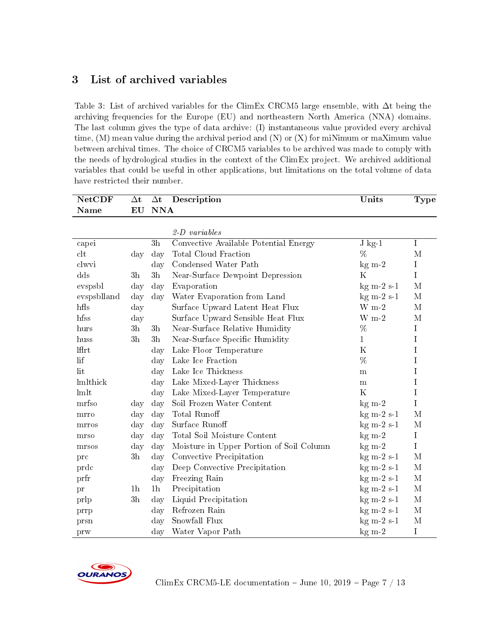# <span id="page-6-0"></span>3 List of archived variables

Table 3: List of archived variables for the ClimEx CRCM5 large ensemble, with ∆t being the archiving frequencies for the Europe (EU) and northeastern North America (NNA) domains. The last column gives the type of data archive: (I) instantaneous value provided every archival time, (M) mean value during the archival period and (N) or (X) for miNimum or maXimum value between archival times. The choice of CRCM5 variables to be archived was made to comply with the needs of hydrological studies in the context of the ClimEx project. We archived additional variables that could be useful in other applications, but limitations on the total volume of data have restricted their number.

| <b>NetCDF</b>  | $\Delta t$     |                | $\Delta t$ Description                   | Units        | Type           |
|----------------|----------------|----------------|------------------------------------------|--------------|----------------|
| Name           | EU             | <b>NNA</b>     |                                          |              |                |
|                |                |                |                                          |              |                |
|                |                |                | $2-D \ variables$                        |              |                |
| capei          |                | 3h             | Convective Available Potential Energy    | $J$ kg-1     | $\mathbf I$    |
| $_{\rm clt}$   | day            | day            | <b>Total Cloud Fraction</b>              | %            | M              |
| clwvi          |                | day            | Condensed Water Path                     | $kg m-2$     | I              |
| $\mathrm{dds}$ | 3 <sub>h</sub> | 3 <sub>h</sub> | Near-Surface Dewpoint Depression         | K            | $\overline{I}$ |
| evspsbl        | day            | day            | Evaporation                              | $kg m-2 s-1$ | M              |
| evspsblland    | day            | day            | Water Evaporation from Land              | $kg m-2 s-1$ | M              |
| $h\text{fls}$  | day            |                | Surface Upward Latent Heat Flux          | $W$ m-2      | M              |
| hfss           | day            |                | Surface Upward Sensible Heat Flux        | $W$ m-2      | M              |
| hurs           | 3 <sub>h</sub> | $3\mathrm{h}$  | Near-Surface Relative Humidity           | %            | $\mathbf I$    |
| huss           | 3h             | 3 <sub>h</sub> | Near-Surface Specific Humidity           | $\mathbf{1}$ | I              |
| lfirt          |                | day            | Lake Floor Temperature                   | $\mathbf K$  | I              |
| lif            |                | day            | Lake Ice Fraction                        | %            | I              |
| lit            |                | day            | Lake Ice Thickness                       | m            | I              |
| lmlthick       |                | day            | Lake Mixed-Layer Thickness               | $\mathbf m$  | $\rm I$        |
| lmlt           |                | day            | Lake Mixed-Layer Temperature             | $\rm K$      | I              |
| mrfso          | day            | day            | Soil Frozen Water Content                | $kg \, m-2$  | I              |
| mrro           | day            | day            | <b>Total Runoff</b>                      | $kg m-2 s-1$ | M              |
| mrros          | day            | day            | Surface Runoff                           | $kg m-2 s-1$ | M              |
| mrso           | day            | day            | Total Soil Moisture Content              | $kg \, m-2$  | I              |
| mrsos          | day            | day            | Moisture in Upper Portion of Soil Column | $kg m-2$     | $\overline{I}$ |
| prc            | 3 <sub>h</sub> | day            | Convective Precipitation                 | $kg m-2 s-1$ | M              |
| prdc           |                | day            | Deep Convective Precipitation            | $kg m-2 s-1$ | M              |
| prfr           |                | day            | Freezing Rain                            | $kg m-2 s-1$ | M              |
| pr             | 1 <sub>h</sub> | 1 <sub>h</sub> | Precipitation                            | $kg m-2 s-1$ | $\mathbf M$    |
| prlp           | 3 <sub>h</sub> | day            | Liquid Precipitation                     | $kg m-2 s-1$ | M              |
| prrp           |                | day            | Refrozen Rain                            | $kg m-2 s-1$ | M              |
| prsn           |                | day            | Snowfall Flux                            | $kg m-2 s-1$ | $\mathbf M$    |
| prw            |                | day            | Water Vapor Path                         | $kg m-2$     | I              |

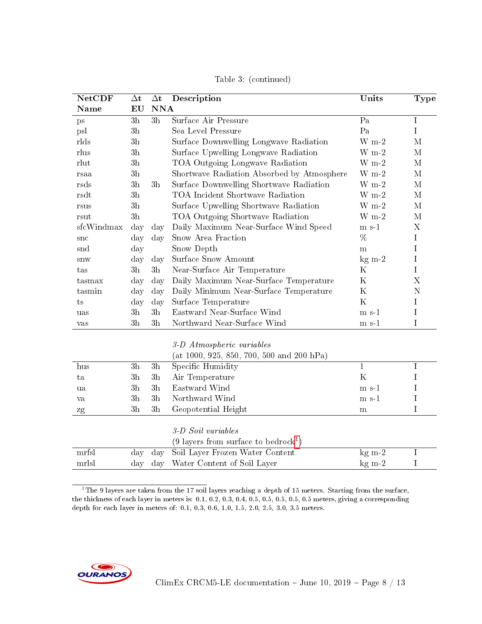| <b>NetCDF</b> | $\Delta t$     | $\Delta \mathbf{t}$ | Description                                    | Units                   | Type                      |
|---------------|----------------|---------------------|------------------------------------------------|-------------------------|---------------------------|
| <b>Name</b>   | EU             | <b>NNA</b>          |                                                |                         |                           |
| ps            | 3h             | 3 <sub>h</sub>      | Surface Air Pressure                           | $\overline{Pa}$         | $\mathbf I$               |
| psl           | 3h             |                     | Sea Level Pressure                             | Pa                      | $\mathbf I$               |
| rlds          | 3 <sub>h</sub> |                     | Surface Downwelling Longwave Radiation         | $W$ m-2                 | M                         |
| rlus          | 3h             |                     | Surface Upwelling Longwave Radiation           | $W_{m-2}$               | $\mathbf M$               |
| rlut          | 3 <sub>h</sub> |                     | TOA Outgoing Longwave Radiation                | $W_{m-2}$               | M                         |
| rsaa          | 3h             |                     | Shortwave Radiation Absorbed by Atmosphere     | $W$ m-2                 | $\mathbf M$               |
| rsds          | 3h             | 3 <sub>h</sub>      | Surface Downwelling Shortwave Radiation        | $W$ m-2                 | $\mathbf M$               |
| rsdt          | 3 <sub>h</sub> |                     | TOA Incident Shortwave Radiation               | $\rm W~m\text{-}2$      | $\mathbf M$               |
| rsus          | 3h             |                     | Surface Upwelling Shortwave Radiation          | $W m-2$                 | $\mathbf M$               |
| rsut          | 3 <sub>h</sub> |                     | TOA Outgoing Shortwave Radiation               | $W_{m-2}$               | M                         |
| sfcWindmax    | day            | day                 | Daily Maximum Near-Surface Wind Speed          | $m s-1$                 | $\boldsymbol{\mathrm{X}}$ |
| $_{\rm src}$  | day            | day                 | Snow Area Fraction                             | %                       | $\mathbf I$               |
| snd           | day            |                     | Snow Depth                                     | ${\bf m}$               | I                         |
| snw           | day            | day                 | Surface Snow Amount                            | $kg m-2$                | I                         |
| tas           | 3 <sub>h</sub> | 3 <sub>h</sub>      | Near-Surface Air Temperature                   | $\rm K$                 | $\mathbf I$               |
| tasmax        | day            | day                 | Daily Maximum Near-Surface Temperature         | $\mathbf K$             | $\boldsymbol{\mathrm{X}}$ |
| tasmin        | day            | day                 | Daily Minimum Near-Surface Temperature         | $\mathbf K$             | N                         |
| ts            | day            | day                 | Surface Temperature                            | $\rm K$                 | I                         |
| uas           | 3 <sub>h</sub> | 3 <sub>h</sub>      | Eastward Near-Surface Wind                     | $m s-1$                 | $\mathbf I$               |
| $\rm{vas}$    | 3h             | 3 <sub>h</sub>      | Northward Near-Surface Wind                    | $m s-1$                 | I                         |
|               |                |                     |                                                |                         |                           |
|               |                |                     | 3-D Atmospheric variables                      |                         |                           |
|               |                |                     | (at 1000, 925, 850, 700, 500 and 200 hPa)      |                         |                           |
| hus           | $3{\rm h}$     | $3\,\mathrm{h}$     | Specific Humidity                              | $\mathbf{1}$<br>$\rm K$ | $\mathbf I$               |
| ta            | 3 <sub>h</sub> | 3h                  | Air Temperature                                |                         | I                         |
| ua            | 3h             | 3 <sub>h</sub>      | Eastward Wind                                  | m s 1                   | I                         |
| va            | 3h             | 3 <sub>h</sub>      | Northward Wind                                 | $m s-1$                 | $\mathbf I$               |
| zg            | 3h             | 3 <sub>h</sub>      | Geopotential Height                            | m                       | I                         |
|               |                |                     | 3-D Soil variables                             |                         |                           |
|               |                |                     | $(9 \text{ layers from surface to bedrock}^1)$ |                         |                           |
| mrfsl         | day            | day                 | Soil Layer Frozen Water Content                | $kg \, m-2$             | $\mathbf I$               |
| mrlsl         | day            | day                 | Water Content of Soil Layer                    | $kg \, m-2$             | $\mathbf I$               |
|               |                |                     |                                                |                         |                           |

Table 3: (continued)

<span id="page-7-0"></span> $1$ <sup>1</sup>The 9 layers are taken from the 17 soil layers reaching a depth of 15 meters. Starting from the surface, the thickness of each layer in meters is: 0.1, 0.2, 0.3, 0.4, 0.5, 0.5, 0.5, 0.5, 0.5 meters, giving a corresponding depth for each layer in meters of: 0.1, 0.3, 0.6, 1.0, 1.5, 2.0, 2.5, 3.0, 3.5 meters.

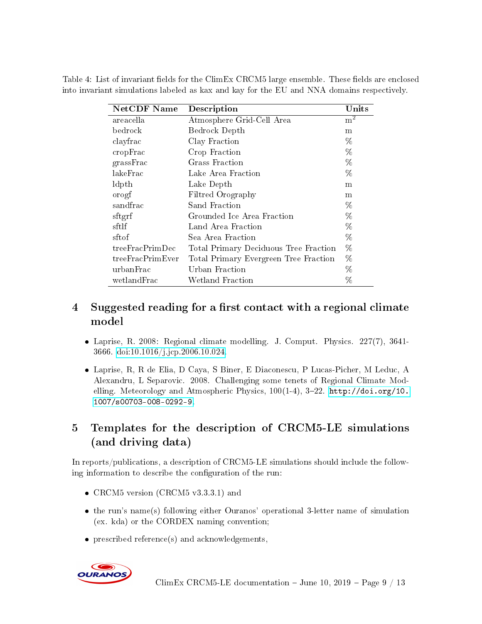Table 4: List of invariant fields for the ClimEx CRCM5 large ensemble. These fields are enclosed into invariant simulations labeled as kax and kay for the EU and NNA domains respectively.

| <b>NetCDF</b> Name | Description                           | $\bf{Units}$ |
|--------------------|---------------------------------------|--------------|
| areacella          | Atmosphere Grid-Cell Area             | $m^2$        |
| $\rm{bedrock}$     | Bedrock Depth                         | m            |
| clayfrac           | Clay Fraction                         | %            |
| cropFrac           | Crop Fraction                         | %            |
| grassFrac          | Grass Fraction                        | %            |
| lakeFrac           | Lake Area Fraction                    | %            |
| ldpth              | Lake Depth                            | m            |
| orogf              | Filtred Orography                     | m            |
| sandfrac           | Sand Fraction                         | %            |
| sftgrf             | Grounded Ice Area Fraction            | %            |
| sftlf              | Land Area Fraction                    | %            |
| sftof              | Sea Area Fraction                     | %            |
| treeFracPrimDec    | Total Primary Deciduous Tree Fraction | %            |
| treeFracPrimEver   | Total Primary Evergreen Tree Fraction | %            |
| urbanFrac          | Urban Fraction                        | %            |
| wetlandFrac        | Wetland Fraction                      | %            |

# <span id="page-8-0"></span>4 Suggested reading for a first contact with a regional climate model

- Laprise, R. 2008: Regional climate modelling. J. Comput. Physics. 227(7), 3641- 3666. [doi:10.1016/j.jcp.2006.10.024.](https://doi.org/10.1016/j.jcp.2006.10.024)
- Laprise, R, R de Elia, D Caya, S Biner, E Diaconescu, P Lucas-Picher, M Leduc, A Alexandru, L Separovic. 2008. Challenging some tenets of Regional Climate Modelling. Meteorology and Atmospheric Physics,  $100(1-4)$ ,  $3-22$ . [http://doi.org/10.](http://doi.org/10.1007/s00703-008-0292-9) [1007/s00703-008-0292-9.](http://doi.org/10.1007/s00703-008-0292-9)

# <span id="page-8-1"></span>5 Templates for the description of CRCM5-LE simulations (and driving data)

In reports/publications, a description of CRCM5-LE simulations should include the following information to describe the configuration of the run:

- CRCM5 version (CRCM5 v3.3.3.1) and
- the run's name(s) following either Ouranos' operational 3-letter name of simulation (ex. kda) or the CORDEX naming convention;
- prescribed reference(s) and acknowledgements,

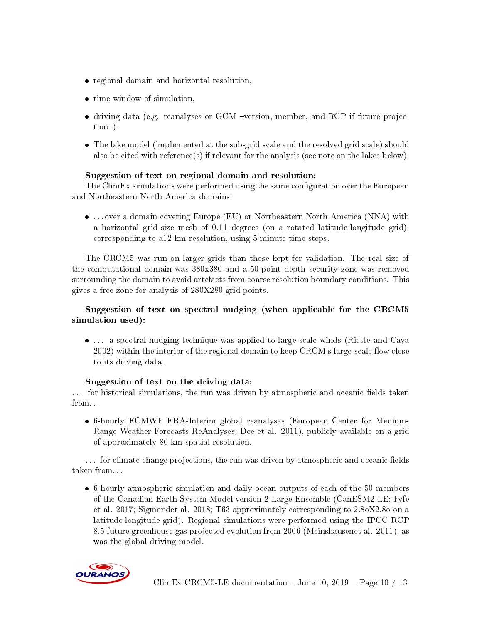- regional domain and horizontal resolution,
- time window of simulation,
- driving data (e.g. reanalyses or GCM -version, member, and RCP if future projection).
- The lake model (implemented at the sub-grid scale and the resolved grid scale) should also be cited with reference(s) if relevant for the analysis (see note on the lakes below).

#### Suggestion of text on regional domain and resolution:

The ClimEx simulations were performed using the same configuration over the European and Northeastern North America domains:

 . . . over a domain covering Europe (EU) or Northeastern North America (NNA) with a horizontal grid-size mesh of 0.11 degrees (on a rotated latitude-longitude grid), corresponding to a12-km resolution, using 5-minute time steps.

The CRCM5 was run on larger grids than those kept for validation. The real size of the computational domain was 380x380 and a 50-point depth security zone was removed surrounding the domain to avoid artefacts from coarse resolution boundary conditions. This gives a free zone for analysis of 280X280 grid points.

### Suggestion of text on spectral nudging (when applicable for the CRCM5 simulation used):

 . . . a spectral nudging technique was applied to large-scale winds (Riette and Caya  $2002$ ) within the interior of the regional domain to keep CRCM's large-scale flow close to its driving data.

#### Suggestion of text on the driving data:

... for historical simulations, the run was driven by atmospheric and oceanic fields taken from. . .

 6-hourly ECMWF ERA-Interim global reanalyses (European Center for Medium-Range Weather Forecasts ReAnalyses; Dee et al. 2011), publicly available on a grid of approximately 80 km spatial resolution.

... for climate change projections, the run was driven by atmospheric and oceanic fields taken from. . .

 6-hourly atmospheric simulation and daily ocean outputs of each of the 50 members of the Canadian Earth System Model version 2 Large Ensemble (CanESM2-LE; Fyfe et al. 2017; Sigmondet al. 2018; T63 approximately corresponding to 2.8oX2.8o on a latitude-longitude grid). Regional simulations were performed using the IPCC RCP 8.5 future greenhouse gas projected evolution from 2006 (Meinshausenet al. 2011), as was the global driving model.

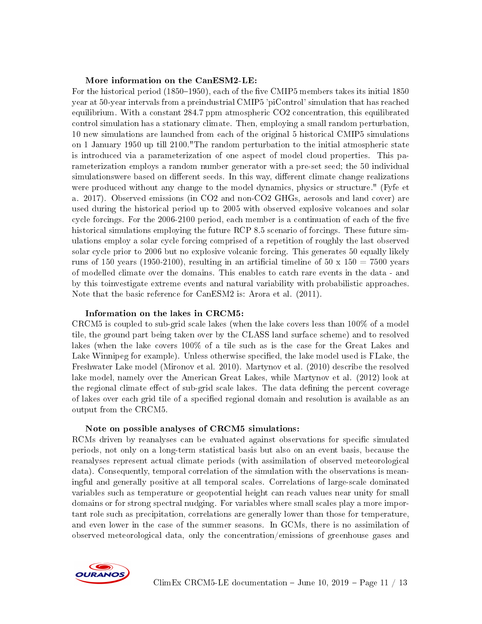#### More information on the CanESM2-LE:

For the historical period  $(1850-1950)$ , each of the five CMIP5 members takes its initial 1850 year at 50-year intervals from a preindustrial CMIP5 'piControl' simulation that has reached equilibrium. With a constant 284.7 ppm atmospheric CO2 concentration, this equilibrated control simulation has a stationary climate. Then, employing a small random perturbation, 10 new simulations are launched from each of the original 5 historical CMIP5 simulations on 1 January 1950 up till 2100."The random perturbation to the initial atmospheric state is introduced via a parameterization of one aspect of model cloud properties. This parameterization employs a random number generator with a pre-set seed; the 50 individual simulationswere based on different seeds. In this way, different climate change realizations were produced without any change to the model dynamics, physics or structure." (Fyfe et a. 2017). Observed emissions (in CO2 and non-CO2 GHGs, aerosols and land cover) are used during the historical period up to 2005 with observed explosive volcanoes and solar cycle forcings. For the 2006-2100 period, each member is a continuation of each of the five historical simulations employing the future RCP 8.5 scenario of forcings. These future simulations employ a solar cycle forcing comprised of a repetition of roughly the last observed solar cycle prior to 2006 but no explosive volcanic forcing. This generates 50 equally likely runs of 150 years (1950-2100), resulting in an artificial timeline of  $50 \times 150 = 7500$  years of modelled climate over the domains. This enables to catch rare events in the data - and by this toinvestigate extreme events and natural variability with probabilistic approaches. Note that the basic reference for CanESM2 is: Arora et al. (2011).

#### Information on the lakes in CRCM5:

CRCM5 is coupled to sub-grid scale lakes (when the lake covers less than 100% of a model tile, the ground part being taken over by the CLASS land surface scheme) and to resolved lakes (when the lake covers 100% of a tile such as is the case for the Great Lakes and Lake Winnipeg for example). Unless otherwise specified, the lake model used is FLake, the Freshwater Lake model (Mironov et al. 2010). Martynov et al. (2010) describe the resolved lake model, namely over the American Great Lakes, while Martynov et al. (2012) look at the regional climate effect of sub-grid scale lakes. The data defining the percent coverage of lakes over each grid tile of a specified regional domain and resolution is available as an output from the CRCM5.

#### Note on possible analyses of CRCM5 simulations:

RCMs driven by reanalyses can be evaluated against observations for specific simulated periods, not only on a long-term statistical basis but also on an event basis, because the reanalyses represent actual climate periods (with assimilation of observed meteorological data). Consequently, temporal correlation of the simulation with the observations is meaningful and generally positive at all temporal scales. Correlations of large-scale dominated variables such as temperature or geopotential height can reach values near unity for small domains or for strong spectral nudging. For variables where small scales play a more important role such as precipitation, correlations are generally lower than those for temperature, and even lower in the case of the summer seasons. In GCMs, there is no assimilation of observed meteorological data, only the concentration/emissions of greenhouse gases and

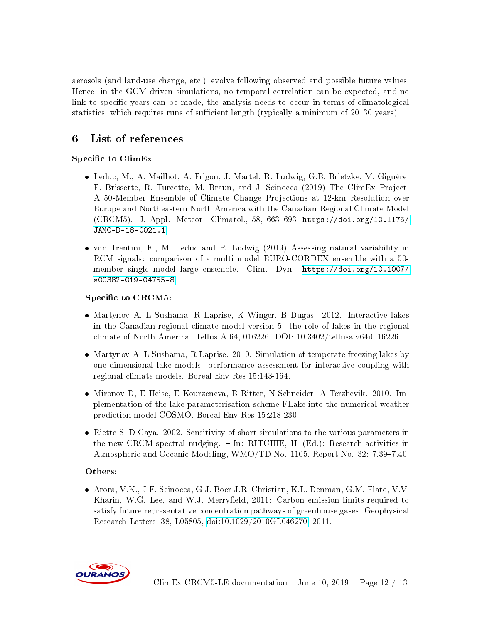aerosols (and land-use change, etc.) evolve following observed and possible future values. Hence, in the GCM-driven simulations, no temporal correlation can be expected, and no link to specific years can be made, the analysis needs to occur in terms of climatological statistics, which requires runs of sufficient length (typically a minimum of  $20-30$  years).

## <span id="page-11-0"></span>6 List of references

### Specific to ClimEx

- Leduc, M., A. Mailhot, A. Frigon, J. Martel, R. Ludwig, G.B. Brietzke, M. Giguère, F. Brissette, R. Turcotte, M. Braun, and J. Scinocca (2019) The ClimEx Project: A 50-Member Ensemble of Climate Change Projections at 12-km Resolution over Europe and Northeastern North America with the Canadian Regional Climate Model  $(CRCM5)$ . J. Appl. Meteor. Climatol., 58, 663-693, [https://doi.org/10.1175/](https://doi.org/10.1175/JAMC-D-18-0021.1) [JAMC-D-18-0021.1.](https://doi.org/10.1175/JAMC-D-18-0021.1)
- von Trentini, F., M. Leduc and R. Ludwig (2019) Assessing natural variability in RCM signals: comparison of a multi model EURO-CORDEX ensemble with a 50 member single model large ensemble. Clim. Dyn. [https://doi.org/10.1007/](https://doi.org/10.1007/s00382-019-04755-8) [s00382-019-04755-8.](https://doi.org/10.1007/s00382-019-04755-8)

### Specific to CRCM5:

- Martynov A, L Sushama, R Laprise, K Winger, B Dugas. 2012. Interactive lakes in the Canadian regional climate model version 5: the role of lakes in the regional climate of North America. Tellus A 64, 016226. DOI: 10.3402/tellusa.v64i0.16226.
- Martynov A, L Sushama, R Laprise. 2010. Simulation of temperate freezing lakes by one-dimensional lake models: performance assessment for interactive coupling with regional climate models. Boreal Env Res 15:143-164.
- Mironov D, E Heise, E Kourzeneva, B Ritter, N Schneider, A Terzhevik. 2010. Implementation of the lake parameterisation scheme FLake into the numerical weather prediction model COSMO. Boreal Env Res 15:218-230.
- Riette S, D Caya. 2002. Sensitivity of short simulations to the various parameters in the new CRCM spectral nudging.  $-$  In: RITCHIE, H. (Ed.): Research activities in Atmospheric and Oceanic Modeling, WMO/TD No. 1105, Report No. 32: 7.39–7.40.

#### Others:

 Arora, V.K., J.F. Scinocca, G.J. Boer J.R. Christian, K.L. Denman, G.M. Flato, V.V. Kharin, W.G. Lee, and W.J. Merryfield, 2011: Carbon emission limits required to satisfy future representative concentration pathways of greenhouse gases. Geophysical Research Letters, 38, L05805, [doi:10.1029/2010GL046270,](https://doi.org/10.1029/2010GL046270) 2011.